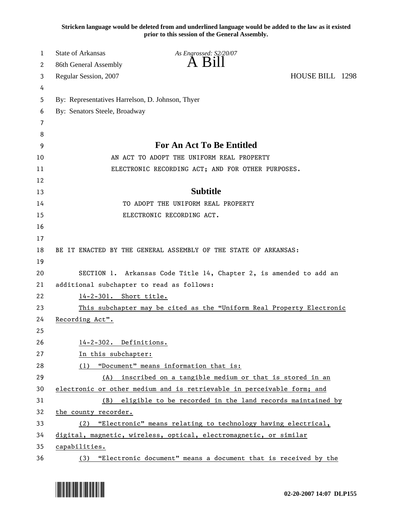**Stricken language would be deleted from and underlined language would be added to the law as it existed prior to this session of the General Assembly.**

| 1  | <b>State of Arkansas</b>                         | As Engrossed: S2/20/07                                                 |                 |
|----|--------------------------------------------------|------------------------------------------------------------------------|-----------------|
| 2  | 86th General Assembly                            |                                                                        |                 |
| 3  | Regular Session, 2007                            |                                                                        | HOUSE BILL 1298 |
| 4  |                                                  |                                                                        |                 |
| 5  | By: Representatives Harrelson, D. Johnson, Thyer |                                                                        |                 |
| 6  | By: Senators Steele, Broadway                    |                                                                        |                 |
| 7  |                                                  |                                                                        |                 |
| 8  |                                                  |                                                                        |                 |
| 9  |                                                  | For An Act To Be Entitled                                              |                 |
| 10 |                                                  | AN ACT TO ADOPT THE UNIFORM REAL PROPERTY                              |                 |
| 11 |                                                  | ELECTRONIC RECORDING ACT; AND FOR OTHER PURPOSES.                      |                 |
| 12 |                                                  |                                                                        |                 |
| 13 |                                                  | <b>Subtitle</b>                                                        |                 |
| 14 |                                                  | TO ADOPT THE UNIFORM REAL PROPERTY                                     |                 |
| 15 |                                                  | ELECTRONIC RECORDING ACT.                                              |                 |
| 16 |                                                  |                                                                        |                 |
| 17 |                                                  |                                                                        |                 |
| 18 |                                                  | BE IT ENACTED BY THE GENERAL ASSEMBLY OF THE STATE OF ARKANSAS:        |                 |
| 19 |                                                  |                                                                        |                 |
| 20 |                                                  | SECTION 1. Arkansas Code Title 14, Chapter 2, is amended to add an     |                 |
| 21 | additional subchapter to read as follows:        |                                                                        |                 |
| 22 | 14-2-301. Short title.                           |                                                                        |                 |
| 23 |                                                  | This subchapter may be cited as the "Uniform Real Property Electronic  |                 |
| 24 | Recording Act".                                  |                                                                        |                 |
| 25 |                                                  |                                                                        |                 |
| 26 | 14-2-302. Definitions.                           |                                                                        |                 |
| 27 | In this subchapter:                              |                                                                        |                 |
| 28 | (1)                                              | "Document" means information that is:                                  |                 |
| 29 | (A)                                              | inscribed on a tangible medium or that is stored in an                 |                 |
| 30 |                                                  | electronic or other medium and is retrievable in perceivable form; and |                 |
| 31 |                                                  | (B) eligible to be recorded in the land records maintained by          |                 |
| 32 | the county recorder.                             |                                                                        |                 |
| 33 |                                                  | (2) "Electronic" means relating to technology having electrical,       |                 |
| 34 |                                                  | digital, magnetic, wireless, optical, electromagnetic, or similar      |                 |
| 35 | capabilities.                                    |                                                                        |                 |
| 36 |                                                  | (3) "Electronic document" means a document that is received by the     |                 |

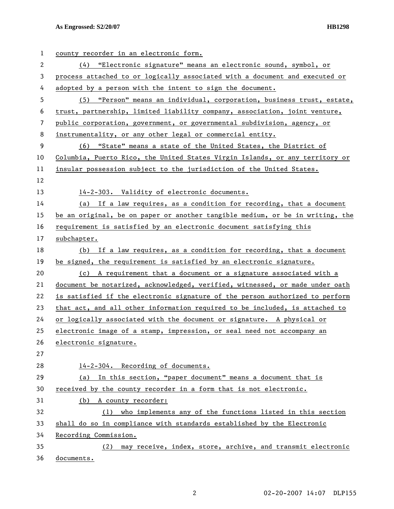| $\mathbf{1}$ | county recorder in an electronic form.                                        |
|--------------|-------------------------------------------------------------------------------|
| 2            | (4) "Electronic signature" means an electronic sound, symbol, or              |
| 3            | process attached to or logically associated with a document and executed or   |
| 4            | adopted by a person with the intent to sign the document.                     |
| 5            | (5) "Person" means an individual, corporation, business trust, estate,        |
| 6            | trust, partnership, limited liability company, association, joint venture,    |
| 7            | public corporation, government, or governmental subdivision, agency, or       |
| 8            | instrumentality, or any other legal or commercial entity.                     |
| 9            | (6) "State" means a state of the United States, the District of               |
| 10           | Columbia, Puerto Rico, the United States Virgin Islands, or any territory or  |
| 11           | insular possession subject to the jurisdiction of the United States.          |
| 12           |                                                                               |
| 13           | 14-2-303. Validity of electronic documents.                                   |
| 14           | (a) If a law requires, as a condition for recording, that a document          |
| 15           | be an original, be on paper or another tangible medium, or be in writing, the |
| 16           | requirement is satisfied by an electronic document satisfying this            |
| 17           | subchapter.                                                                   |
| 18           | (b) If a law requires, as a condition for recording, that a document          |
| 19           | be signed, the requirement is satisfied by an electronic signature.           |
| 20           | (c) A requirement that a document or a signature associated with a            |
| 21           | document be notarized, acknowledged, verified, witnessed, or made under oath  |
| 22           | is satisfied if the electronic signature of the person authorized to perform  |
| 23           | that act, and all other information required to be included, is attached to   |
| 24           | or logically associated with the document or signature. A physical or         |
| 25           | electronic image of a stamp, impression, or seal need not accompany an        |
| 26           | electronic signature.                                                         |
| 27           |                                                                               |
| 28           | 14-2-304. Recording of documents.                                             |
| 29           | In this section, "paper document" means a document that is<br>(a)             |
| 30           | received by the county recorder in a form that is not electronic.             |
| 31           | (b) A county recorder:                                                        |
| 32           | who implements any of the functions listed in this section<br>(1)             |
| 33           | shall do so in compliance with standards established by the Electronic        |
| 34           | Recording Commission.                                                         |
| 35           | may receive, index, store, archive, and transmit electronic<br>(2)            |
| 36           | documents.                                                                    |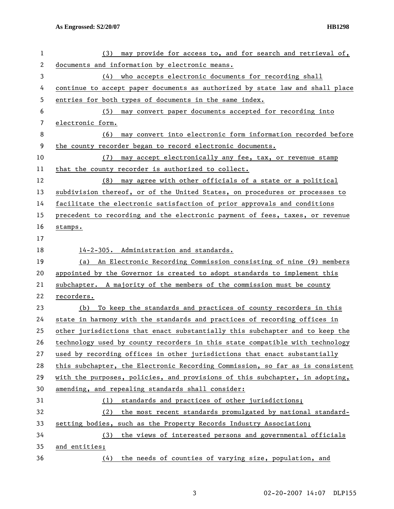| $\mathbf{1}$ | may provide for access to, and for search and retrieval of,<br>(3)            |
|--------------|-------------------------------------------------------------------------------|
| $\mathbf{2}$ | documents and information by electronic means.                                |
| 3            | (4) who accepts electronic documents for recording shall                      |
| 4            | continue to accept paper documents as authorized by state law and shall place |
| 5            | entries for both types of documents in the same index.                        |
| 6            | (5) may convert paper documents accepted for recording into                   |
| 7            | electronic form.                                                              |
| 8            | may convert into electronic form information recorded before<br>(6)           |
| 9            | the county recorder began to record electronic documents.                     |
| 10           | may accept electronically any fee, tax, or revenue stamp<br>(7)               |
| 11           | that the county recorder is authorized to collect.                            |
| 12           | may agree with other officials of a state or a political<br>(8)               |
| 13           | subdivision thereof, or of the United States, on procedures or processes to   |
| 14           | facilitate the electronic satisfaction of prior approvals and conditions      |
| 15           | precedent to recording and the electronic payment of fees, taxes, or revenue  |
| 16           | stamps.                                                                       |
| 17           |                                                                               |
| 18           | 14-2-305. Administration and standards.                                       |
| 19           | An Electronic Recording Commission consisting of nine (9) members<br>(a)      |
| 20           | appointed by the Governor is created to adopt standards to implement this     |
| 21           | subchapter. A majority of the members of the commission must be county        |
| 22           | recorders.                                                                    |
| 23           | To keep the standards and practices of county recorders in this<br>(b)        |
| 24           | state in harmony with the standards and practices of recording offices in     |
| 25           | other jurisdictions that enact substantially this subchapter and to keep the  |
| 26           | technology used by county recorders in this state compatible with technology  |
| 27           | used by recording offices in other jurisdictions that enact substantially     |
| 28           | this subchapter, the Electronic Recording Commission, so far as is consistent |
| 29           | with the purposes, policies, and provisions of this subchapter, in adopting,  |
| 30           | amending, and repealing standards shall consider:                             |
| 31           | standards and practices of other jurisdictions;<br>(1)                        |
| 32           | (2) the most recent standards promulgated by national standard-               |
| 33           | setting bodies, such as the Property Records Industry Association;            |
| 34           | the views of interested persons and governmental officials<br>(3)             |
| 35           | and entities;                                                                 |
| 36           | the needs of counties of varying size, population, and<br>(4)                 |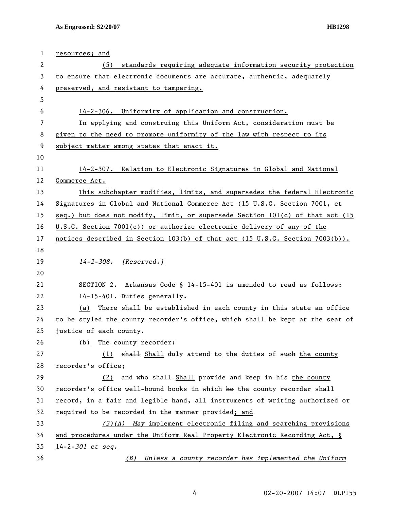| $\mathbf 1$ | resources; and                                                                |
|-------------|-------------------------------------------------------------------------------|
| 2           | standards requiring adequate information security protection<br>(5)           |
| 3           | to ensure that electronic documents are accurate, authentic, adequately       |
| 4           | preserved, and resistant to tampering.                                        |
| 5           |                                                                               |
| 6           | 14-2-306. Uniformity of application and construction.                         |
| 7           | In applying and construing this Uniform Act, consideration must be            |
| 8           | given to the need to promote uniformity of the law with respect to its        |
| 9           | subject matter among states that enact it.                                    |
| 10          |                                                                               |
| 11          | 14-2-307. Relation to Electronic Signatures in Global and National            |
| 12          | Commerce Act.                                                                 |
| 13          | This subchapter modifies, limits, and supersedes the federal Electronic       |
| 14          | Signatures in Global and National Commerce Act (15 U.S.C. Section 7001, et    |
| 15          | seq.) but does not modify, limit, or supersede Section 101(c) of that act (15 |
| 16          | U.S.C. Section 7001(c)) or authorize electronic delivery of any of the        |
| 17          | notices described in Section 103(b) of that act (15 U.S.C. Section 7003(b)).  |
| 18          |                                                                               |
| 19          | 14-2-308. [Reserved.]                                                         |
| 20          |                                                                               |
| 21          | SECTION 2. Arkansas Code § 14-15-401 is amended to read as follows:           |
| 22          | 14-15-401. Duties generally.                                                  |
| 23          | (a) There shall be established in each county in this state an office         |
| 24          | to be styled the county recorder's office, which shall be kept at the seat of |
| 25          | justice of each county.                                                       |
| 26          | The county recorder:<br>(b)                                                   |
| 27          | (1) shall fuly attend to the duties of such the county                        |
| 28          | recorder's office;                                                            |
| 29          | and who shall Shall provide and keep in his the county<br>(2)                 |
| 30          | recorder's office well-bound books in which he the county recorder shall      |
| 31          | record, in a fair and legible hand, all instruments of writing authorized or  |
| 32          | required to be recorded in the manner provided; and                           |
| 33          | $(3)(A)$ May implement electronic filing and searching provisions             |
| 34          | and procedures under the Uniform Real Property Electronic Recording Act, §    |
| 35          | $14 - 2 - 301$ et seq.                                                        |
| 36          | Unless a county recorder has implemented the Uniform<br>(B)                   |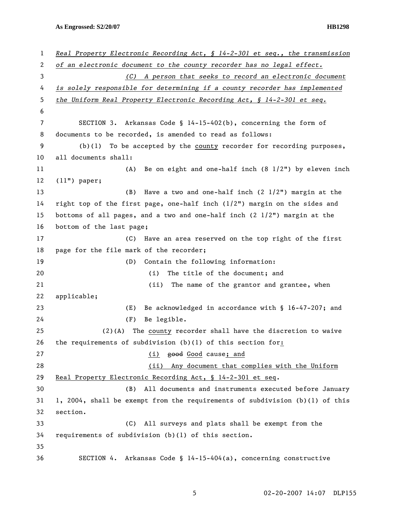**As Engrossed: S2/20/07 HB1298** 

| 1  | Real Property Electronic Recording Act, $\S$ 14-2-301 et seq., the transmission   |
|----|-----------------------------------------------------------------------------------|
| 2  | of an electronic document to the county recorder has no legal effect.             |
| 3  | (C) A person that seeks to record an electronic document                          |
| 4  | is solely responsible for determining if a county recorder has implemented        |
| 5  | the Uniform Real Property Electronic Recording Act, § 14-2-301 et seq.            |
| 6  |                                                                                   |
| 7  | SECTION 3. Arkansas Code § 14-15-402(b), concerning the form of                   |
| 8  | documents to be recorded, is amended to read as follows:                          |
| 9  | $(b)(1)$ To be accepted by the county recorder for recording purposes,            |
| 10 | all documents shall:                                                              |
| 11 | Be on eight and one-half inch $(8\ 1/2")$ by eleven inch<br>(A)                   |
| 12 | $(11")$ paper;                                                                    |
| 13 | (B)<br>Have a two and one-half inch $(2\ 1/2")$ margin at the                     |
| 14 | right top of the first page, one-half inch $(1/2n)$ margin on the sides and       |
| 15 | bottoms of all pages, and a two and one-half inch $(2 \frac{1}{2})$ margin at the |
| 16 | bottom of the last page;                                                          |
| 17 | Have an area reserved on the top right of the first<br>(C)                        |
| 18 | page for the file mark of the recorder;                                           |
| 19 | Contain the following information:<br>(D)                                         |
| 20 | The title of the document; and<br>(i)                                             |
| 21 | (ii)<br>The name of the grantor and grantee, when                                 |
| 22 | applicable;                                                                       |
| 23 | Be acknowledged in accordance with § 16-47-207; and<br>(E)                        |
| 24 | (F)<br>Be legible.                                                                |
| 25 | The county recorder shall have the discretion to waive<br>$(2)$ (A)               |
| 26 | the requirements of subdivision $(b)(1)$ of this section for:                     |
| 27 | (i) good Good cause; and                                                          |
| 28 | (ii) Any document that complies with the Uniform                                  |
| 29 | Real Property Electronic Recording Act, § 14-2-301 et seq.                        |
| 30 | All documents and instruments executed before January<br>(B)                      |
| 31 | 1, 2004, shall be exempt from the requirements of subdivision (b)(1) of this      |
| 32 | section.                                                                          |
| 33 | (C)<br>All surveys and plats shall be exempt from the                             |
| 34 | requirements of subdivision (b)(l) of this section.                               |
| 35 |                                                                                   |
| 36 | SECTION 4. Arkansas Code § 14-15-404(a), concerning constructive                  |

5 02-20-2007 14:07 DLP155